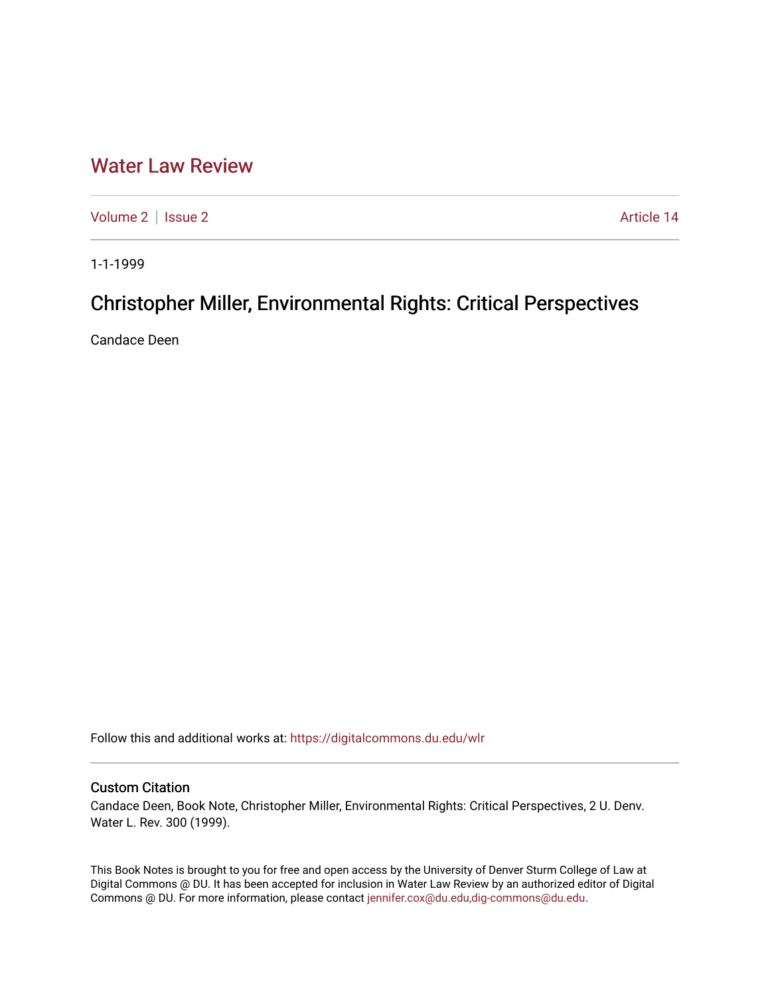## [Water Law Review](https://digitalcommons.du.edu/wlr)

[Volume 2](https://digitalcommons.du.edu/wlr/vol2) | [Issue 2](https://digitalcommons.du.edu/wlr/vol2/iss2) Article 14

1-1-1999

# Christopher Miller, Environmental Rights: Critical Perspectives

Candace Deen

Follow this and additional works at: [https://digitalcommons.du.edu/wlr](https://digitalcommons.du.edu/wlr?utm_source=digitalcommons.du.edu%2Fwlr%2Fvol2%2Fiss2%2F14&utm_medium=PDF&utm_campaign=PDFCoverPages) 

#### Custom Citation

Candace Deen, Book Note, Christopher Miller, Environmental Rights: Critical Perspectives, 2 U. Denv. Water L. Rev. 300 (1999).

This Book Notes is brought to you for free and open access by the University of Denver Sturm College of Law at Digital Commons @ DU. It has been accepted for inclusion in Water Law Review by an authorized editor of Digital Commons @ DU. For more information, please contact [jennifer.cox@du.edu,dig-commons@du.edu.](mailto:jennifer.cox@du.edu,dig-commons@du.edu)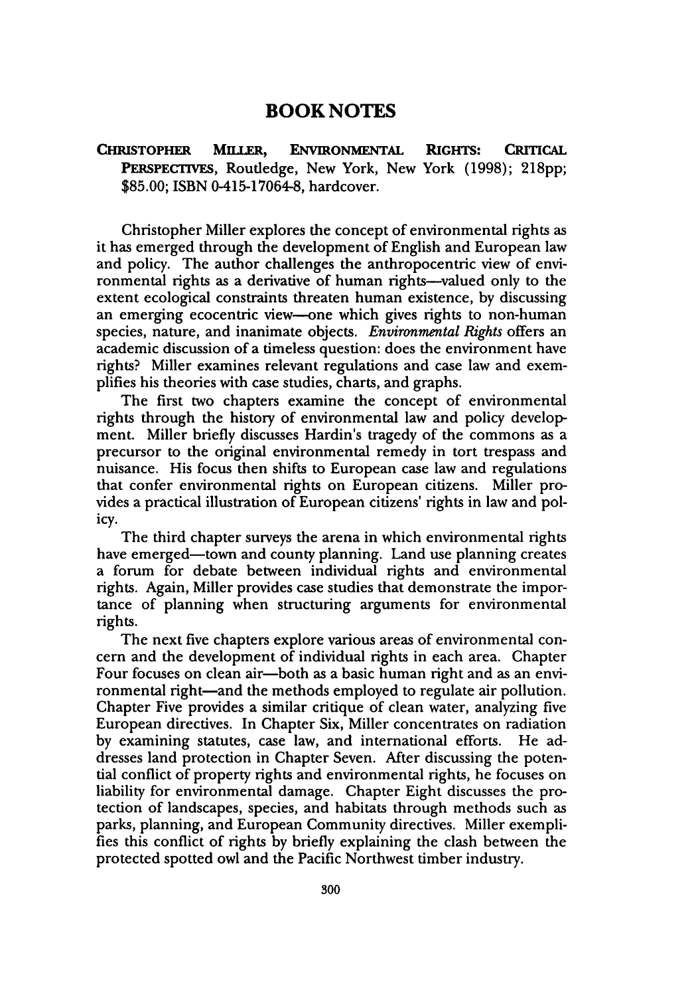### **BOOK NOTES**

**CHRISTOPHER MILLER, ENVIRONMENTAL RIGHTS: CRITICAL PERSPECTIVES,** Routledge, New York, New York **(1998); 218pp; \$85.00;** ISBN 0415-17064-8, hardcover.

Christopher Miller explores the concept of environmental rights as it has emerged through the development of English and European law and policy. The author challenges the anthropocentric view of environmental rights as a derivative of human rights-valued only to the extent ecological constraints threaten human existence, by discussing an emerging ecocentric view-one which gives rights to non-human species, nature, and inanimate objects. *Environmental Rights* offers an academic discussion of a timeless question: does the environment have rights? Miller examines relevant regulations and case law and exemplifies his theories with case studies, charts, and graphs.

The first two chapters examine the concept of environmental rights through the history of environmental law and policy development. Miller briefly discusses Hardin's tragedy of the commons as a precursor to the original environmental remedy in tort trespass and nuisance. His focus then shifts to European case law and regulations that confer environmental rights on European citizens. Miller provides a practical illustration of European citizens' rights in law and policy.

The third chapter surveys the arena in which environmental rights have emerged-town and county planning. Land use planning creates a forum for debate between individual rights and environmental rights. Again, Miller provides case studies that demonstrate the importance of planning when structuring arguments for environmental rights.

The next five chapters explore various areas of environmental concern and the development of individual rights in each area. Chapter Four focuses on clean air—both as a basic human right and as an environmental right-and the methods employed to regulate air pollution. Chapter Five provides a similar critique of clean water, analyzing five European directives. In Chapter Six, Miller concentrates on radiation by examining statutes, case law, and international efforts. He addresses land protection in Chapter Seven. After discussing the potential conflict of property rights and environmental rights, he focuses on liability for environmental damage. Chapter Eight discusses the protection of landscapes, species, and habitats through methods such as parks, planning, and European Community directives. Miller exemplifies this conflict of rights by briefly explaining the clash between the protected spotted owl and the Pacific Northwest timber industry.